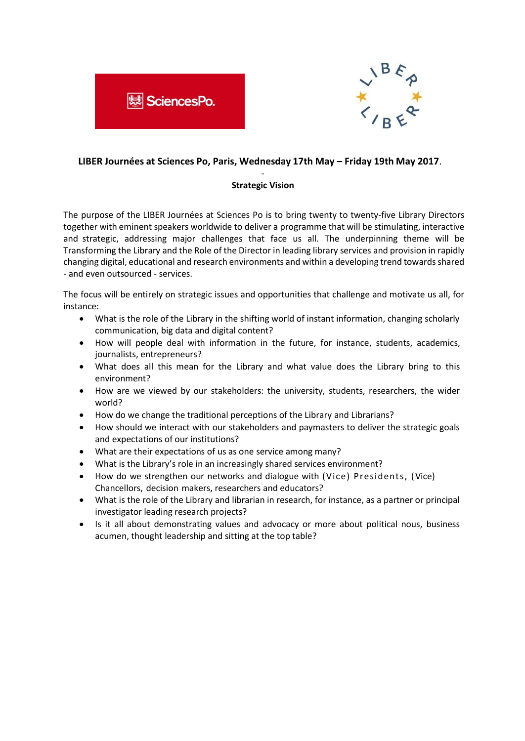



## **LIBER Journées at Sciences Po, Paris, Wednesday 17th May – Friday 19th May 2017**.

## - **Strategic Vision**

The purpose of the LIBER Journées at Sciences Po is to bring twenty to twenty-five Library Directors together with eminent speakers worldwide to deliver a programme that will be stimulating, interactive and strategic, addressing major challenges that face us all. The underpinning theme will be Transforming the Library and the Role of the Director in leading library services and provision in rapidly changing digital, educational and research environments and within a developing trend towards shared - and even outsourced - services.

The focus will be entirely on strategic issues and opportunities that challenge and motivate us all, for instance:

- What is the role of the Library in the shifting world of instant information, changing scholarly communication, big data and digital content?
- How will people deal with information in the future, for instance, students, academics, journalists, entrepreneurs?
- What does all this mean for the Library and what value does the Library bring to this environment?
- How are we viewed by our stakeholders: the university, students, researchers, the wider world?
- How do we change the traditional perceptions of the Library and Librarians?
- How should we interact with our stakeholders and paymasters to deliver the strategic goals and expectations of our institutions?
- What are their expectations of us as one service among many?
- What is the Library's role in an increasingly shared services environment?
- How do we strengthen our networks and dialogue with (Vice) Presidents, (Vice) Chancellors, decision makers, researchers and educators?
- What is the role of the Library and librarian in research, for instance, as a partner or principal investigator leading research projects?
- Is it all about demonstrating values and advocacy or more about political nous, business acumen, thought leadership and sitting at the top table?